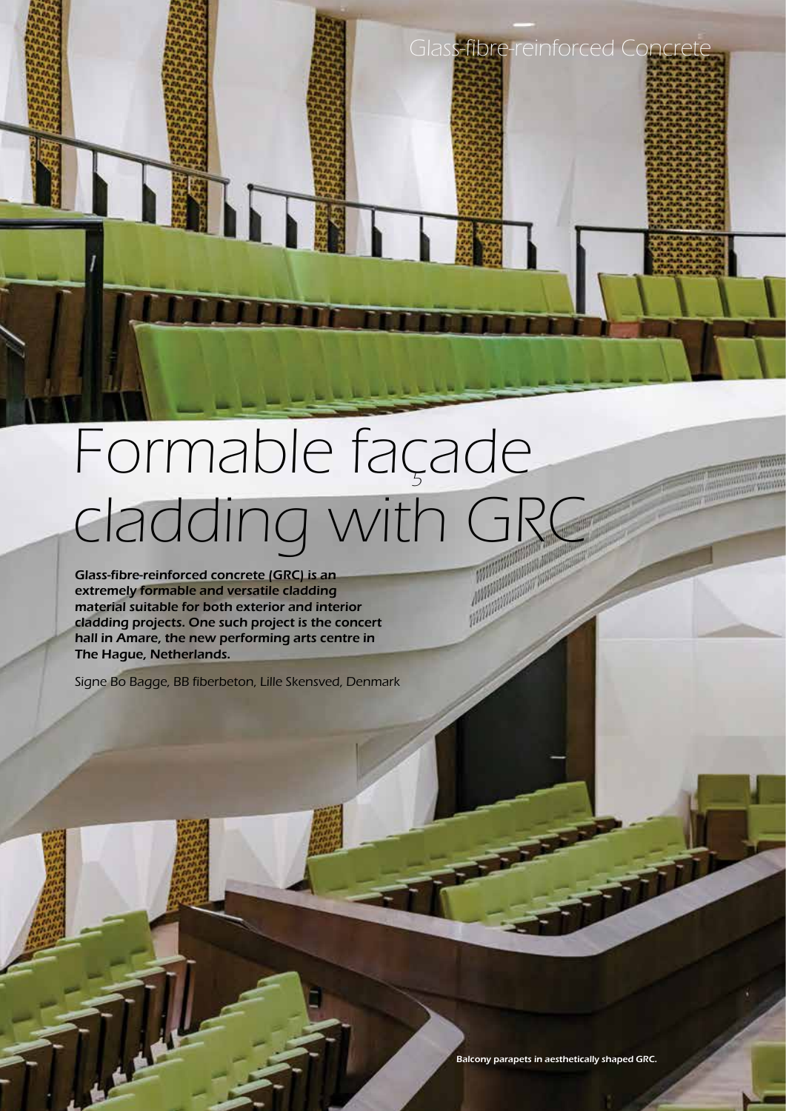# Formable façade Cadding with GRC  $\frac{\int_{0}^{1} \frac{\int_{0}^{1} \frac{\int_{0}^{1} \int_{0}^{1} \int_{0}^{1} \int_{0}^{1} \int_{0}^{1} \int_{0}^{1} \int_{0}^{1} \int_{0}^{1} \int_{0}^{1} \int_{0}^{1} \int_{0}^{1} \int_{0}^{1} \int_{0}^{1} \int_{0}^{1} \int_{0}^{1} \int_{0}^{1} \int_{0}^{1} \int_{0}^{1} \int_{0}^{1} \int_{0}^{1} \int_{0}^{1} \int_{0}^{1} \int_{0}^{1} \int_{0}^{1} \int_{0}^{$

Glass-fibre-reinforced concrete (GRC) is an extremely formable and versatile cladding material suitable for both exterior and interior cladding projects. One such project is the concert hall in Amare, the new performing arts centre in The Hague, Netherlands.

Signe Bo Bagge, BB fiberbeton, Lille Skensved, Denmark

**January 2022** Balcony parapets in aesthetically shaped GRC.

Glass-fibre-reinforced Concrete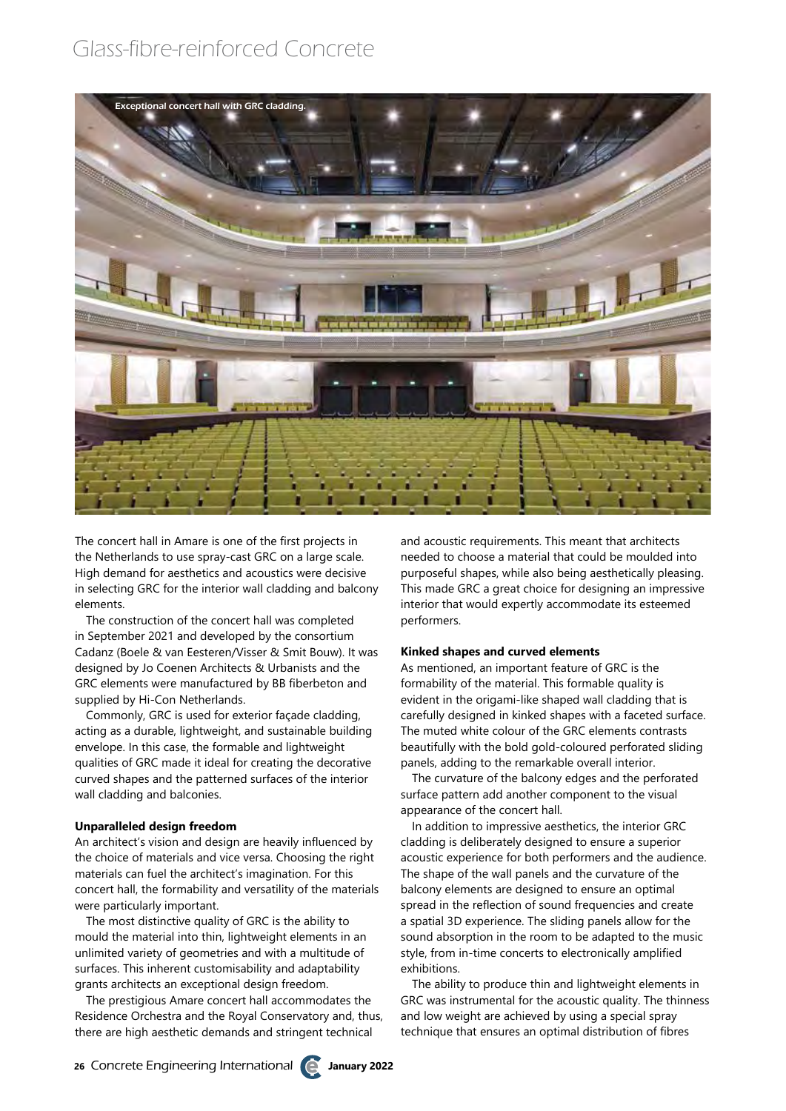# Glass-fibre-reinforced Concrete



The concert hall in Amare is one of the first projects in the Netherlands to use spray-cast GRC on a large scale. High demand for aesthetics and acoustics were decisive in selecting GRC for the interior wall cladding and balcony elements.

The construction of the concert hall was completed in September 2021 and developed by the consortium Cadanz (Boele & van Eesteren/Visser & Smit Bouw). It was designed by Jo Coenen Architects & Urbanists and the GRC elements were manufactured by BB fiberbeton and supplied by Hi-Con Netherlands.

Commonly, GRC is used for exterior façade cladding, acting as a durable, lightweight, and sustainable building envelope. In this case, the formable and lightweight qualities of GRC made it ideal for creating the decorative curved shapes and the patterned surfaces of the interior wall cladding and balconies.

### **Unparalleled design freedom**

An architect's vision and design are heavily influenced by the choice of materials and vice versa. Choosing the right materials can fuel the architect's imagination. For this concert hall, the formability and versatility of the materials were particularly important.

The most distinctive quality of GRC is the ability to mould the material into thin, lightweight elements in an unlimited variety of geometries and with a multitude of surfaces. This inherent customisability and adaptability grants architects an exceptional design freedom.

The prestigious Amare concert hall accommodates the Residence Orchestra and the Royal Conservatory and, thus, there are high aesthetic demands and stringent technical

and acoustic requirements. This meant that architects needed to choose a material that could be moulded into purposeful shapes, while also being aesthetically pleasing. This made GRC a great choice for designing an impressive interior that would expertly accommodate its esteemed performers.

### **Kinked shapes and curved elements**

As mentioned, an important feature of GRC is the formability of the material. This formable quality is evident in the origami-like shaped wall cladding that is carefully designed in kinked shapes with a faceted surface. The muted white colour of the GRC elements contrasts beautifully with the bold gold-coloured perforated sliding panels, adding to the remarkable overall interior.

The curvature of the balcony edges and the perforated surface pattern add another component to the visual appearance of the concert hall.

In addition to impressive aesthetics, the interior GRC cladding is deliberately designed to ensure a superior acoustic experience for both performers and the audience. The shape of the wall panels and the curvature of the balcony elements are designed to ensure an optimal spread in the reflection of sound frequencies and create a spatial 3D experience. The sliding panels allow for the sound absorption in the room to be adapted to the music style, from in-time concerts to electronically amplified exhibitions.

The ability to produce thin and lightweight elements in GRC was instrumental for the acoustic quality. The thinness and low weight are achieved by using a special spray technique that ensures an optimal distribution of fibres